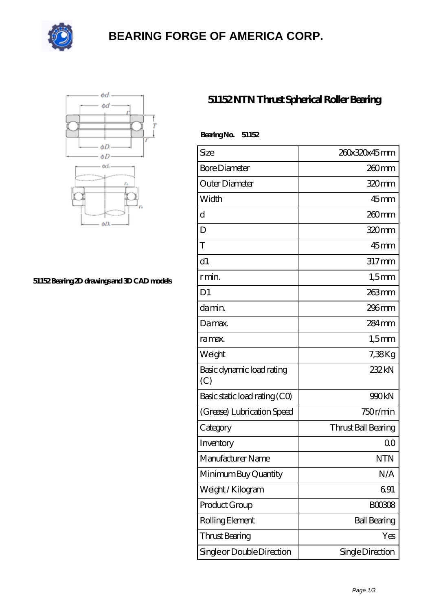

# **[BEARING FORGE OF AMERICA CORP.](https://nskf-bearings.com)**



#### **[51152 Bearing 2D drawings and 3D CAD models](https://nskf-bearings.com/pic-1030231.html)**

### **[51152 NTN Thrust Spherical Roller Bearing](https://nskf-bearings.com/thrust-spherical-roller-bearing/51152.html)**

| BearingNo.<br>51152              |                     |
|----------------------------------|---------------------|
| Size                             | 260x320x45mm        |
| <b>Bore Diameter</b>             | $260$ mm            |
| Outer Diameter                   | 320mm               |
| Width                            | $45$ <sub>mm</sub>  |
| d                                | $260$ mm            |
| D                                | 320mm               |
| T                                | $45$ <sub>mm</sub>  |
| d1                               | $317$ mm            |
| r min.                           | $1,5$ mm            |
| D <sub>1</sub>                   | 263mm               |
| damin.                           | $296$ mm            |
| Da max.                          | $284 \,\mathrm{mm}$ |
| ra max.                          | $1,5$ mm            |
| Weight                           | 7,38Kg              |
| Basic dynamic load rating<br>(C) | 232kN               |
| Basic static load rating (CO)    | 990kN               |
| (Grease) Lubrication Speed       | 750r/min            |
| Category                         | Thrust Ball Bearing |
| Inventory                        | 0 <sup>0</sup>      |
| Manufacturer Name                | <b>NTN</b>          |
| Minimum Buy Quantity             | N/A                 |
| Weight/Kilogram                  | 691                 |
| Product Group                    | <b>BOO3O8</b>       |
| Rolling Element                  | <b>Ball Bearing</b> |
| Thrust Bearing                   | Yes                 |
| Single or Double Direction       | Single Direction    |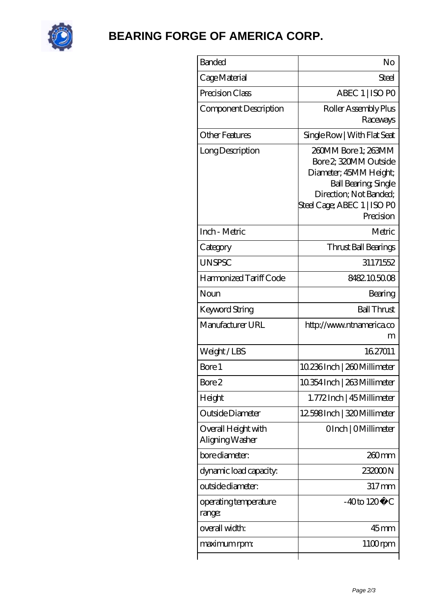

# **[BEARING FORGE OF AMERICA CORP.](https://nskf-bearings.com)**

| <b>Banded</b>                          | No                                                                                                                                                                          |
|----------------------------------------|-----------------------------------------------------------------------------------------------------------------------------------------------------------------------------|
| Cage Material                          | Steel                                                                                                                                                                       |
| Precision Class                        | ABEC 1   ISO PO                                                                                                                                                             |
| Component Description                  | Roller Assembly Plus<br>Raceways                                                                                                                                            |
| Other Features                         | Single Row   With Flat Seat                                                                                                                                                 |
| Long Description                       | 260MM Bore 1; 263MM<br>Bore 2, 320MM Outside<br>Diameter; 45MM Height;<br><b>Ball Bearing, Single</b><br>Direction; Not Banded;<br>Steel Cage; ABEC 1   ISO PO<br>Precision |
| Inch - Metric                          | Metric                                                                                                                                                                      |
| Category                               | Thrust Ball Bearings                                                                                                                                                        |
| <b>UNSPSC</b>                          | 31171552                                                                                                                                                                    |
| Harmonized Tariff Code                 | 8482105008                                                                                                                                                                  |
| Noun                                   | Bearing                                                                                                                                                                     |
| Keyword String                         | <b>Ball Thrust</b>                                                                                                                                                          |
| Manufacturer URL                       | http://www.ntnamerica.co<br>m                                                                                                                                               |
| Weight/LBS                             | 1627011                                                                                                                                                                     |
| Bore 1                                 | 10.236Inch   260Millimeter                                                                                                                                                  |
| Bore 2                                 | 10.354 Inch   263 Millimeter                                                                                                                                                |
| Height                                 | 1.772Inch   45Millimeter                                                                                                                                                    |
| Outside Diameter                       | 12598Inch   320 Millimeter                                                                                                                                                  |
| Overall Height with<br>Aligning Washer | OInch   OMillimeter                                                                                                                                                         |
| bore diameter:                         | 260 <sub>mm</sub>                                                                                                                                                           |
| dynamic load capacity:                 | 232000N                                                                                                                                                                     |
| outside diameter:                      | $317 \text{mm}$                                                                                                                                                             |
| operating temperature<br>range:        | $-40$ to $120^{\circ}$ C                                                                                                                                                    |
| overall width:                         | $45$ mm                                                                                                                                                                     |
| maximum rpm:                           | $1100$ rpm                                                                                                                                                                  |
|                                        |                                                                                                                                                                             |